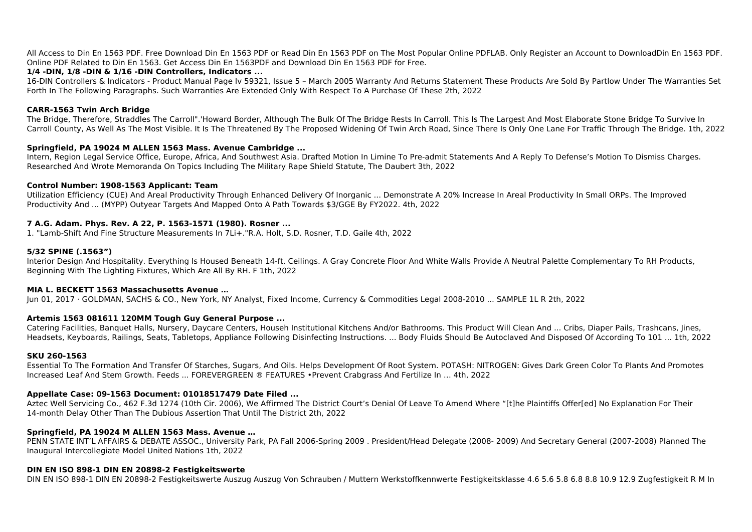All Access to Din En 1563 PDF. Free Download Din En 1563 PDF or Read Din En 1563 PDF on The Most Popular Online PDFLAB. Only Register an Account to DownloadDin En 1563 PDF. Online PDF Related to Din En 1563. Get Access Din En 1563PDF and Download Din En 1563 PDF for Free.

# **1/4 -DIN, 1/8 -DIN & 1/16 -DIN Controllers, Indicators ...**

16-DIN Controllers & Indicators - Product Manual Page Iv 59321, Issue 5 - March 2005 Warranty And Returns Statement These Products Are Sold By Partlow Under The Warranties Set Forth In The Following Paragraphs. Such Warranties Are Extended Only With Respect To A Purchase Of These 2th, 2022

### **CARR-1563 Twin Arch Bridge**

The Bridge, Therefore, Straddles The Carroll".'Howard Border, Although The Bulk Of The Bridge Rests In Carroll. This Is The Largest And Most Elaborate Stone Bridge To Survive In Carroll County, As Well As The Most Visible. It Is The Threatened By The Proposed Widening Of Twin Arch Road, Since There Is Only One Lane For Traffic Through The Bridge. 1th, 2022

# **Springfield, PA 19024 M ALLEN 1563 Mass. Avenue Cambridge ...**

Intern, Region Legal Service Office, Europe, Africa, And Southwest Asia. Drafted Motion In Limine To Pre-admit Statements And A Reply To Defense's Motion To Dismiss Charges. Researched And Wrote Memoranda On Topics Including The Military Rape Shield Statute, The Daubert 3th, 2022

### **Control Number: 1908-1563 Applicant: Team**

Utilization Efficiency (CUE) And Areal Productivity Through Enhanced Delivery Of Inorganic ... Demonstrate A 20% Increase In Areal Productivity In Small ORPs. The Improved Productivity And ... (MYPP) Outyear Targets And Mapped Onto A Path Towards \$3/GGE By FY2022. 4th, 2022

### **7 A.G. Adam. Phys. Rev. A 22, P. 1563-1571 (1980). Rosner ...**

1. "Lamb-Shift And Fine Structure Measurements In 7Li+."R.A. Holt, S.D. Rosner, T.D. Gaile 4th, 2022

### **5/32 SPINE (.1563")**

Interior Design And Hospitality. Everything Is Housed Beneath 14-ft. Ceilings. A Gray Concrete Floor And White Walls Provide A Neutral Palette Complementary To RH Products, Beginning With The Lighting Fixtures, Which Are All By RH. F 1th, 2022

#### **MIA L. BECKETT 1563 Massachusetts Avenue …**

Jun 01, 2017 · GOLDMAN, SACHS & CO., New York, NY Analyst, Fixed Income, Currency & Commodities Legal 2008-2010 ... SAMPLE 1L R 2th, 2022

# **Artemis 1563 081611 120MM Tough Guy General Purpose ...**

Catering Facilities, Banquet Halls, Nursery, Daycare Centers, Househ Institutional Kitchens And/or Bathrooms. This Product Will Clean And ... Cribs, Diaper Pails, Trashcans, Jines, Headsets, Keyboards, Railings, Seats, Tabletops, Appliance Following Disinfecting Instructions. ... Body Fluids Should Be Autoclaved And Disposed Of According To 101 ... 1th, 2022

#### **SKU 260-1563**

Essential To The Formation And Transfer Of Starches, Sugars, And Oils. Helps Development Of Root System. POTASH: NITROGEN: Gives Dark Green Color To Plants And Promotes Increased Leaf And Stem Growth. Feeds ... FOREVERGREEN ® FEATURES •Prevent Crabgrass And Fertilize In … 4th, 2022

# **Appellate Case: 09-1563 Document: 01018517479 Date Filed ...**

Aztec Well Servicing Co., 462 F.3d 1274 (10th Cir. 2006), We Affirmed The District Court's Denial Of Leave To Amend Where "[t]he Plaintiffs Offer[ed] No Explanation For Their 14-month Delay Other Than The Dubious Assertion That Until The District 2th, 2022

# **Springfield, PA 19024 M ALLEN 1563 Mass. Avenue …**

PENN STATE INT'L AFFAIRS & DEBATE ASSOC., University Park, PA Fall 2006-Spring 2009 . President/Head Delegate (2008- 2009) And Secretary General (2007-2008) Planned The Inaugural Intercollegiate Model United Nations 1th, 2022

# **DIN EN ISO 898-1 DIN EN 20898-2 Festigkeitswerte**

DIN EN ISO 898-1 DIN EN 20898-2 Festigkeitswerte Auszug Auszug Von Schrauben / Muttern Werkstoffkennwerte Festigkeitsklasse 4.6 5.6 5.8 6.8 8.8 10.9 12.9 Zugfestigkeit R M In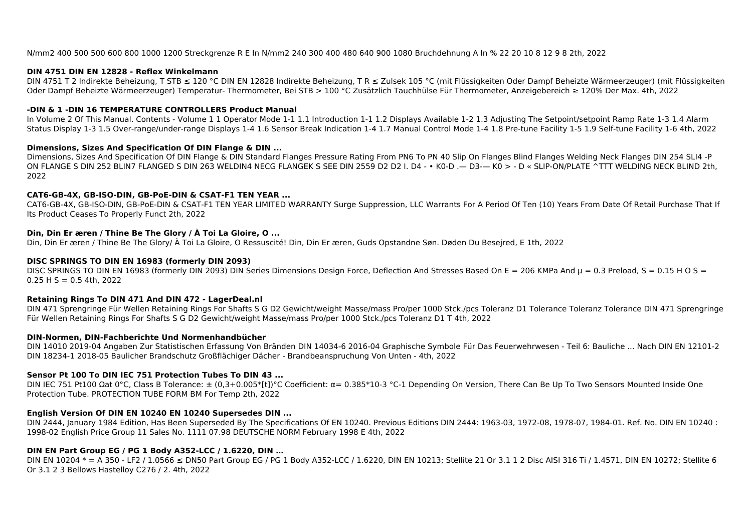### **DIN 4751 DIN EN 12828 - Reflex Winkelmann**

DIN 4751 T 2 Indirekte Beheizung, T STB ≤ 120 °C DIN EN 12828 Indirekte Beheizung, T R ≤ Zulsek 105 °C (mit Flüssigkeiten Oder Dampf Beheizte Wärmeerzeuger) (mit Flüssigkeiten Oder Dampf Beheizte Wärmeerzeuger) Temperatur- Thermometer, Bei STB > 100 °C Zusätzlich Tauchhülse Für Thermometer, Anzeigebereich ≥ 120% Der Max. 4th, 2022

### **-DIN & 1 -DIN 16 TEMPERATURE CONTROLLERS Product Manual**

In Volume 2 Of This Manual. Contents - Volume 1 1 Operator Mode 1-1 1.1 Introduction 1-1 1.2 Displays Available 1-2 1.3 Adjusting The Setpoint/setpoint Ramp Rate 1-3 1.4 Alarm Status Display 1-3 1.5 Over-range/under-range Displays 1-4 1.6 Sensor Break Indication 1-4 1.7 Manual Control Mode 1-4 1.8 Pre-tune Facility 1-5 1.9 Self-tune Facility 1-6 4th, 2022

### **Dimensions, Sizes And Specification Of DIN Flange & DIN ...**

Dimensions, Sizes And Specification Of DIN Flange & DIN Standard Flanges Pressure Rating From PN6 To PN 40 Slip On Flanges Blind Flanges Welding Neck Flanges DIN 254 SLI4 -P ON FLANGE S DIN 252 BLIN7 FLANGED S DIN 263 WELDIN4 NECG FLANGEK S SEE DIN 2559 D2 D2 I. D4 - • K0-D .— D3-— K0 > - D « SLIP-ON/PLATE ^TTT WELDING NECK BLIND 2th, 2022

### **CAT6-GB-4X, GB-ISO-DIN, GB-PoE-DIN & CSAT-F1 TEN YEAR ...**

CAT6-GB-4X, GB-ISO-DIN, GB-PoE-DIN & CSAT-F1 TEN YEAR LIMITED WARRANTY Surge Suppression, LLC Warrants For A Period Of Ten (10) Years From Date Of Retail Purchase That If Its Product Ceases To Properly Funct 2th, 2022

### **Din, Din Er æren / Thine Be The Glory / À Toi La Gloire, O ...**

Din, Din Er æren / Thine Be The Glory/ À Toi La Gloire, O Ressuscité! Din, Din Er æren, Guds Opstandne Søn. Døden Du Besejred, E 1th, 2022

DIN EN 10204 \* = A 350 - LF2 / 1.0566 ≤ DN50 Part Group EG / PG 1 Body A352-LCC / 1.6220, DIN EN 10213; Stellite 21 Or 3.1 1 2 Disc AISI 316 Ti / 1.4571, DIN EN 10272; Stellite 6 Or 3.1 2 3 Bellows Hastelloy C276 / 2. 4th, 2022

### **DISC SPRINGS TO DIN EN 16983 (formerly DIN 2093)**

DISC SPRINGS TO DIN EN 16983 (formerly DIN 2093) DIN Series Dimensions Design Force, Deflection And Stresses Based On E = 206 KMPa And  $\mu$  = 0.3 Preload, S = 0.15 H O S =  $0.25$  H S = 0.5 4th, 2022

#### **Retaining Rings To DIN 471 And DIN 472 - LagerDeal.nl**

DIN 471 Sprengringe Für Wellen Retaining Rings For Shafts S G D2 Gewicht/weight Masse/mass Pro/per 1000 Stck./pcs Toleranz D1 Tolerance Toleranz Tolerance DIN 471 Sprengringe Für Wellen Retaining Rings For Shafts S G D2 Gewicht/weight Masse/mass Pro/per 1000 Stck./pcs Toleranz D1 T 4th, 2022

#### **DIN-Normen, DIN-Fachberichte Und Normenhandbücher**

DIN 14010 2019-04 Angaben Zur Statistischen Erfassung Von Bränden DIN 14034-6 2016-04 Graphische Symbole Für Das Feuerwehrwesen - Teil 6: Bauliche ... Nach DIN EN 12101-2 DIN 18234-1 2018-05 Baulicher Brandschutz Großflächiger Dächer - Brandbeanspruchung Von Unten - 4th, 2022

# **Sensor Pt 100 To DIN IEC 751 Protection Tubes To DIN 43 ...**

DIN IEC 751 Pt100 Ωat 0°C, Class B Tolerance: ± (0,3+0.005\*[t])°C Coefficient: α= 0.385\*10-3 °C-1 Depending On Version, There Can Be Up To Two Sensors Mounted Inside One Protection Tube. PROTECTION TUBE FORM BM For Temp 2th, 2022

# **English Version Of DIN EN 10240 EN 10240 Supersedes DIN ...**

DIN 2444, January 1984 Edition, Has Been Superseded By The Specifications Of EN 10240. Previous Editions DIN 2444: 1963-03, 1972-08, 1978-07, 1984-01. Ref. No. DIN EN 10240 : 1998-02 English Price Group 11 Sales No. 1111 07.98 DEUTSCHE NORM February 1998 E 4th, 2022

# **DIN EN Part Group EG / PG 1 Body A352-LCC / 1.6220, DIN …**